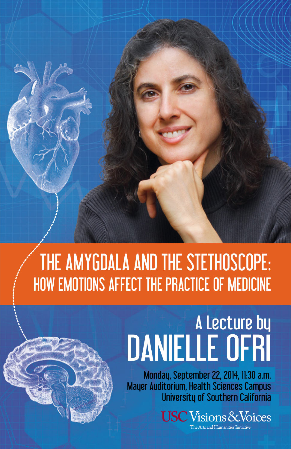## THE AMYGDALA AND THE STETHOSCOPE: HOW EMOTIONS AFFECT THE PRACTICE OF MEDICINE

## A Lecture by DANIELLE OFRI

Monday, September 22, 2014, 11:30 a.m. Mayer Auditorium, Health Sciences Campus University of Southern California

> $\operatorname{\mathsf{USC}}\nolimits$  Visions & Voices The Arts and Humanities Initiative